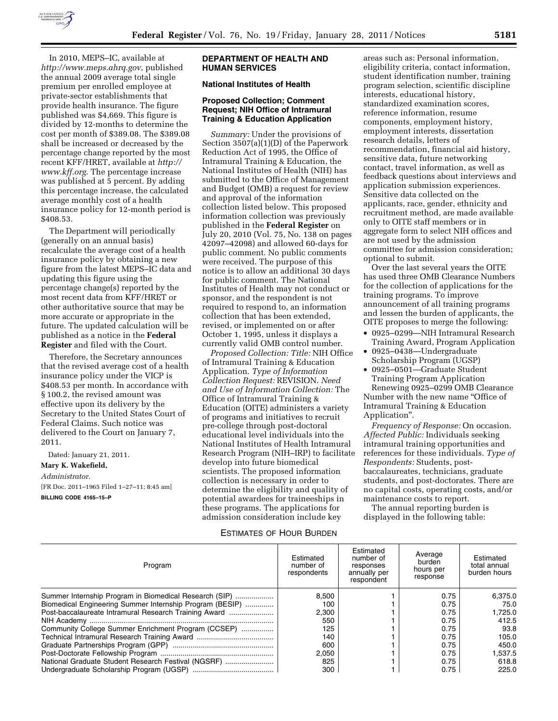

In 2010, MEPS–IC, available at *<http://www.meps.ahrq.gov>*, published the annual 2009 average total single premium per enrolled employee at private-sector establishments that provide health insurance. The figure published was \$4,669. This figure is divided by 12-months to determine the cost per month of \$389.08. The \$389.08 shall be increased or decreased by the percentage change reported by the most recent KFF/HRET, available at *[http://](http://www.kff.org) [www.kff.org](http://www.kff.org)*. The percentage increase was published at 5 percent. By adding this percentage increase, the calculated average monthly cost of a health insurance policy for 12-month period is \$408.53.

The Department will periodically (generally on an annual basis) recalculate the average cost of a health insurance policy by obtaining a new figure from the latest MEPS–IC data and updating this figure using the percentage change(s) reported by the most recent data from KFF/HRET or other authoritative source that may be more accurate or appropriate in the future. The updated calculation will be published as a notice in the **Federal Register** and filed with the Court.

Therefore, the Secretary announces that the revised average cost of a health insurance policy under the VICP is \$408.53 per month. In accordance with § 100.2, the revised amount was effective upon its delivery by the Secretary to the United States Court of Federal Claims. Such notice was delivered to the Court on January 7, 2011.

Dated: January 21, 2011. **Mary K. Wakefield,**  *Administrator.*  [FR Doc. 2011–1965 Filed 1–27–11; 8:45 am] **BILLING CODE 4165–15–P** 

### **DEPARTMENT OF HEALTH AND HUMAN SERVICES**

# **National Institutes of Health**

## **Proposed Collection; Comment Request; NIH Office of Intramural Training & Education Application**

*Summary:* Under the provisions of Section 3507(a)(1)(D) of the Paperwork Reduction Act of 1995, the Office of Intramural Training & Education, the National Institutes of Health (NIH) has submitted to the Office of Management and Budget (OMB) a request for review and approval of the information collection listed below. This proposed information collection was previously published in the **Federal Register** on July 20, 2010 (Vol. 75, No. 138 on pages 42097–42098) and allowed 60-days for public comment. No public comments were received. The purpose of this notice is to allow an additional 30 days for public comment. The National Institutes of Health may not conduct or sponsor, and the respondent is not required to respond to, an information collection that has been extended, revised, or implemented on or after October 1, 1995, unless it displays a currently valid OMB control number.

*Proposed Collection: Title:* NIH Office of Intramural Training & Education Application. *Type of Information Collection Request:* REVISION. *Need and Use of Information Collection:* The Office of Intramural Training & Education (OITE) administers a variety of programs and initiatives to recruit pre-college through post-doctoral educational level individuals into the National Institutes of Health Intramural Research Program (NIH–IRP) to facilitate develop into future biomedical scientists. The proposed information collection is necessary in order to determine the eligibility and quality of potential awardees for traineeships in these programs. The applications for admission consideration include key

areas such as: Personal information, eligibility criteria, contact information, student identification number, training program selection, scientific discipline interests, educational history, standardized examination scores, reference information, resume components, employment history, employment interests, dissertation research details, letters of recommendation, financial aid history, sensitive data, future networking contact, travel information, as well as feedback questions about interviews and application submission experiences. Sensitive data collected on the applicants, race, gender, ethnicity and recruitment method, are made available only to OITE staff members or in aggregate form to select NIH offices and are not used by the admission committee for admission consideration; optional to submit.

Over the last several years the OITE has used three OMB Clearance Numbers for the collection of applications for the training programs. To improve announcement of all training programs and lessen the burden of applicants, the OITE proposes to merge the following:

- 0925–0299—NIH Intramural Research Training Award, Program Application
- 0925–0438—Undergraduate Scholarship Program (UGSP)
- 0925–0501—Graduate Student Training Program Application Renewing 0925–0299 OMB Clearance Number with the new name ''Office of Intramural Training & Education Application''.

*Frequency of Response:* On occasion. *Affected Public:* Individuals seeking intramural training opportunities and references for these individuals. *Type of Respondents:* Students, postbaccalaureates, technicians, graduate students, and post-doctorates. There are no capital costs, operating costs, and/or maintenance costs to report.

The annual reporting burden is displayed in the following table:

#### ESTIMATES OF HOUR BURDEN

| Program                                                  | Estimated<br>number of<br>respondents | Estimated<br>number of<br>responses<br>annually per<br>respondent | Average<br>burden<br>hours per<br>response | Estimated<br>total annual<br>burden hours |
|----------------------------------------------------------|---------------------------------------|-------------------------------------------------------------------|--------------------------------------------|-------------------------------------------|
| Summer Internship Program in Biomedical Research (SIP)   | 8.500                                 |                                                                   | 0.75                                       | 6.375.0                                   |
| Biomedical Engineering Summer Internship Program (BESIP) | 100                                   |                                                                   | 0.75                                       | 75.0                                      |
| Post-baccalaureate Intramural Research Training Award    | 2.300                                 |                                                                   | 0.75                                       | 1.725.0                                   |
|                                                          | 550                                   |                                                                   | 0.75                                       | 412.5                                     |
| Community College Summer Enrichment Program (CCSEP)      | 125                                   |                                                                   | 0.75                                       | 93.8                                      |
|                                                          | 140                                   |                                                                   | 0.75                                       | 105.0                                     |
|                                                          | 600                                   |                                                                   | 0.75                                       | 450.0                                     |
|                                                          | 2.050                                 |                                                                   | 0.75                                       | 1.537.5                                   |
| National Graduate Student Research Festival (NGSRF)      | 825                                   |                                                                   | 0.75                                       | 618.8                                     |
|                                                          | 300                                   |                                                                   | 0.75                                       | 225.0                                     |